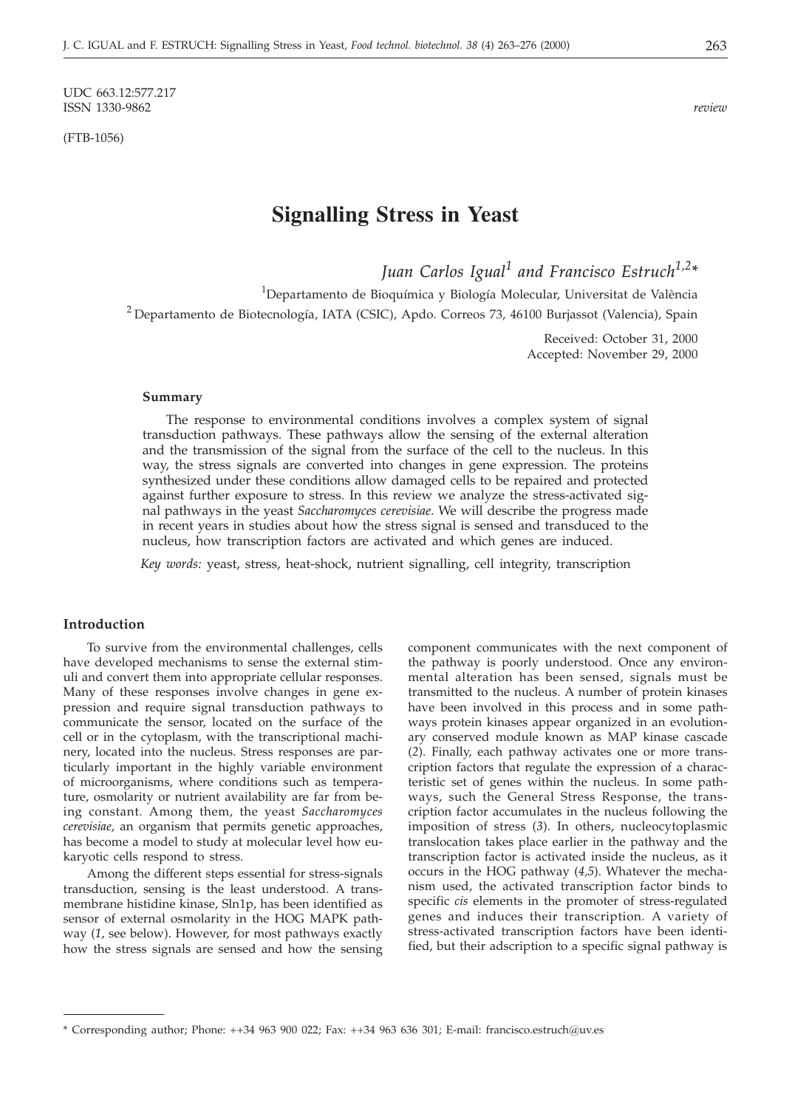UDC 663.12:577.217<br>ISSN 1330-9862 ISSN 1330-9862 *review*

(FTB-1056)

# **Signalling Stress in Yeast**

*Juan Carlos Igual<sup>1</sup> and Francisco Estruch1,2\**

<sup>1</sup>Departamento de Bioquímica y Biología Molecular, Universitat de València <sup>2</sup> Departamento de Biotecnología, IATA (CSIC), Apdo. Correos 73, 46100 Burjassot (Valencia), Spain

> Received: October 31, 2000 Accepted: November 29, 2000

#### **Summary**

The response to environmental conditions involves a complex system of signal transduction pathways. These pathways allow the sensing of the external alteration and the transmission of the signal from the surface of the cell to the nucleus. In this way, the stress signals are converted into changes in gene expression. The proteins synthesized under these conditions allow damaged cells to be repaired and protected against further exposure to stress. In this review we analyze the stress-activated signal pathways in the yeast *Saccharomyces cerevisiae*. We will describe the progress made in recent years in studies about how the stress signal is sensed and transduced to the nucleus, how transcription factors are activated and which genes are induced.

*Key words:* yeast, stress, heat-shock, nutrient signalling, cell integrity, transcription

# **Introduction**

To survive from the environmental challenges, cells have developed mechanisms to sense the external stimuli and convert them into appropriate cellular responses. Many of these responses involve changes in gene expression and require signal transduction pathways to communicate the sensor, located on the surface of the cell or in the cytoplasm, with the transcriptional machinery, located into the nucleus. Stress responses are particularly important in the highly variable environment of microorganisms, where conditions such as temperature, osmolarity or nutrient availability are far from being constant. Among them, the yeast *Saccharomyces cerevisiae*, an organism that permits genetic approaches, has become a model to study at molecular level how eukaryotic cells respond to stress.

Among the different steps essential for stress-signals transduction, sensing is the least understood. A transmembrane histidine kinase, Sln1p, has been identified as sensor of external osmolarity in the HOG MAPK pathway (*1*, see below). However, for most pathways exactly how the stress signals are sensed and how the sensing

component communicates with the next component of the pathway is poorly understood. Once any environmental alteration has been sensed, signals must be transmitted to the nucleus. A number of protein kinases have been involved in this process and in some pathways protein kinases appear organized in an evolutionary conserved module known as MAP kinase cascade (*2*). Finally, each pathway activates one or more transcription factors that regulate the expression of a characteristic set of genes within the nucleus. In some pathways, such the General Stress Response, the transcription factor accumulates in the nucleus following the imposition of stress (*3*). In others, nucleocytoplasmic translocation takes place earlier in the pathway and the transcription factor is activated inside the nucleus, as it occurs in the HOG pathway (*4,5*). Whatever the mechanism used, the activated transcription factor binds to specific *cis* elements in the promoter of stress-regulated genes and induces their transcription. A variety of stress-activated transcription factors have been identified, but their adscription to a specific signal pathway is

<sup>\*</sup> Corresponding author; Phone: ++34 963 900 022; Fax: ++34 963 636 301; E-mail: francisco.estruch@uv.es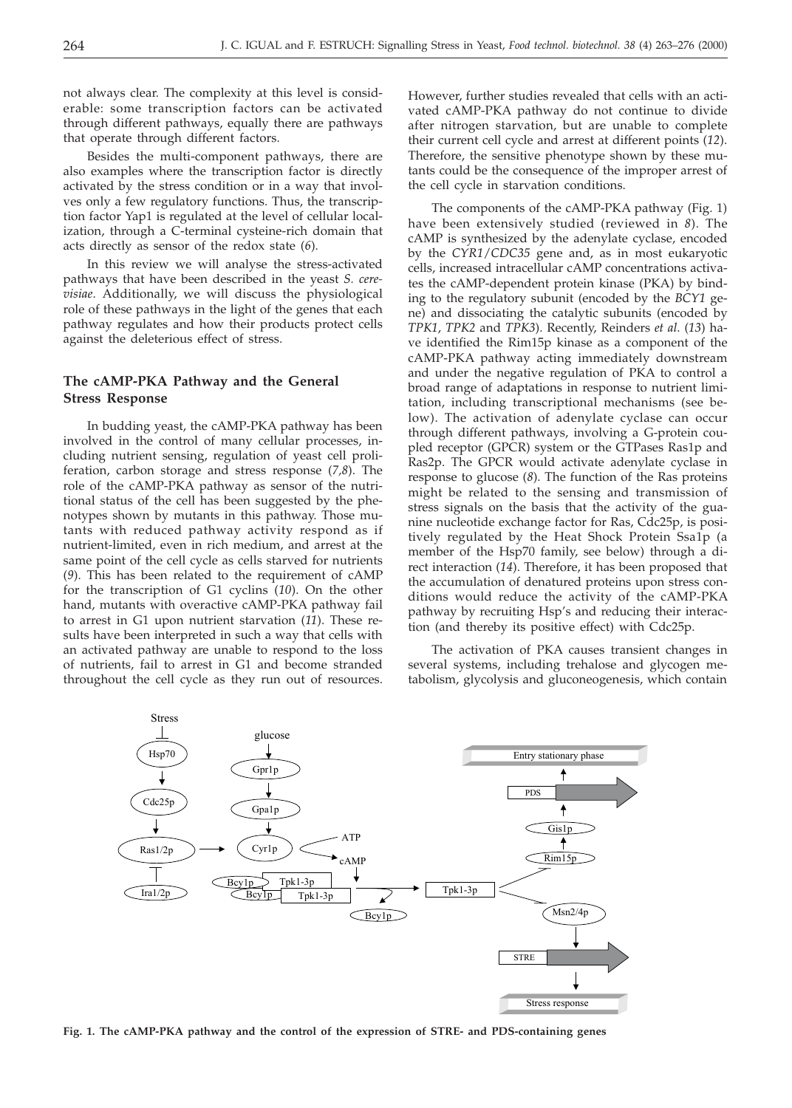not always clear. The complexity at this level is considerable: some transcription factors can be activated through different pathways, equally there are pathways that operate through different factors.

Besides the multi-component pathways, there are also examples where the transcription factor is directly activated by the stress condition or in a way that involves only a few regulatory functions. Thus, the transcription factor Yap1 is regulated at the level of cellular localization, through a C-terminal cysteine-rich domain that acts directly as sensor of the redox state (*6*).

In this review we will analyse the stress-activated pathways that have been described in the yeast *S. cerevisiae*. Additionally, we will discuss the physiological role of these pathways in the light of the genes that each pathway regulates and how their products protect cells against the deleterious effect of stress.

# **The cAMP-PKA Pathway and the General Stress Response**

In budding yeast, the cAMP-PKA pathway has been involved in the control of many cellular processes, including nutrient sensing, regulation of yeast cell proliferation, carbon storage and stress response (*7,8*). The role of the cAMP-PKA pathway as sensor of the nutritional status of the cell has been suggested by the phenotypes shown by mutants in this pathway. Those mutants with reduced pathway activity respond as if nutrient-limited, even in rich medium, and arrest at the same point of the cell cycle as cells starved for nutrients (*9*). This has been related to the requirement of cAMP for the transcription of G1 cyclins (*10*). On the other hand, mutants with overactive cAMP-PKA pathway fail to arrest in G1 upon nutrient starvation (*11*). These results have been interpreted in such a way that cells with an activated pathway are unable to respond to the loss of nutrients, fail to arrest in G1 and become stranded throughout the cell cycle as they run out of resources. However, further studies revealed that cells with an activated cAMP-PKA pathway do not continue to divide after nitrogen starvation, but are unable to complete their current cell cycle and arrest at different points (*12*). Therefore, the sensitive phenotype shown by these mutants could be the consequence of the improper arrest of the cell cycle in starvation conditions.

The components of the cAMP-PKA pathway (Fig. 1) have been extensively studied (reviewed in *8*). The cAMP is synthesized by the adenylate cyclase, encoded by the *CYR1*/*CDC35* gene and, as in most eukaryotic cells, increased intracellular cAMP concentrations activates the cAMP-dependent protein kinase (PKA) by binding to the regulatory subunit (encoded by the *BCY1* gene) and dissociating the catalytic subunits (encoded by *TPK1*, *TPK2* and *TPK3*). Recently, Reinders *et al*. (*13*) have identified the Rim15p kinase as a component of the cAMP-PKA pathway acting immediately downstream and under the negative regulation of PKA to control a broad range of adaptations in response to nutrient limitation, including transcriptional mechanisms (see below). The activation of adenylate cyclase can occur through different pathways, involving a G-protein coupled receptor (GPCR) system or the GTPases Ras1p and Ras2p. The GPCR would activate adenylate cyclase in response to glucose (*8*). The function of the Ras proteins might be related to the sensing and transmission of stress signals on the basis that the activity of the guanine nucleotide exchange factor for Ras, Cdc25p, is positively regulated by the Heat Shock Protein Ssa1p (a member of the Hsp70 family, see below) through a direct interaction (*14*). Therefore, it has been proposed that the accumulation of denatured proteins upon stress conditions would reduce the activity of the cAMP-PKA pathway by recruiting Hsp's and reducing their interaction (and thereby its positive effect) with Cdc25p.

The activation of PKA causes transient changes in several systems, including trehalose and glycogen metabolism, glycolysis and gluconeogenesis, which contain



**Fig. 1. The cAMP-PKA pathway and the control of the expression of STRE- and PDS-containing genes**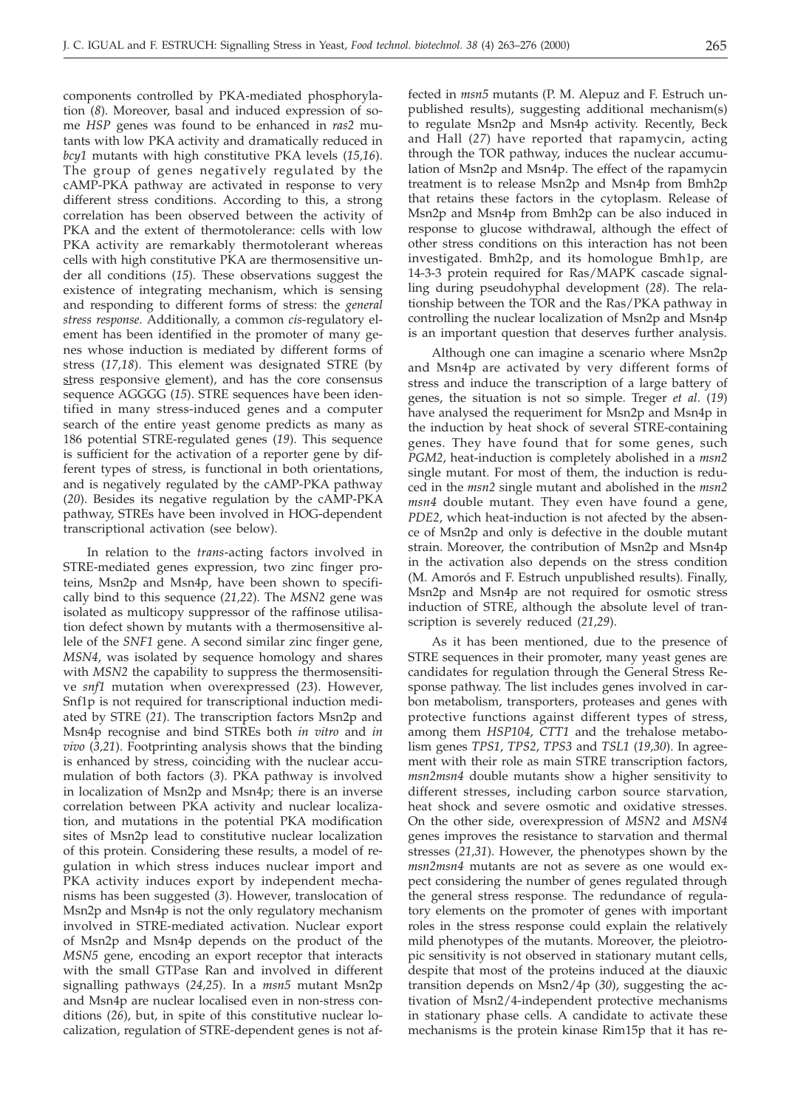components controlled by PKA-mediated phosphorylation (*8*). Moreover, basal and induced expression of some *HSP* genes was found to be enhanced in *ras2* mutants with low PKA activity and dramatically reduced in *bcy1* mutants with high constitutive PKA levels (*15,16*). The group of genes negatively regulated by the cAMP-PKA pathway are activated in response to very different stress conditions. According to this, a strong correlation has been observed between the activity of PKA and the extent of thermotolerance: cells with low PKA activity are remarkably thermotolerant whereas cells with high constitutive PKA are thermosensitive under all conditions (*15*). These observations suggest the existence of integrating mechanism, which is sensing and responding to different forms of stress: the *general stress response*. Additionally, a common *cis*-regulatory element has been identified in the promoter of many genes whose induction is mediated by different forms of stress (*17,18*). This element was designated STRE (by stress responsive element), and has the core consensus sequence AGGGG (*15*). STRE sequences have been identified in many stress-induced genes and a computer search of the entire yeast genome predicts as many as 186 potential STRE-regulated genes (*19*). This sequence is sufficient for the activation of a reporter gene by different types of stress, is functional in both orientations, and is negatively regulated by the cAMP-PKA pathway (*20*). Besides its negative regulation by the cAMP-PKA pathway, STREs have been involved in HOG-dependent transcriptional activation (see below).

In relation to the *trans*-acting factors involved in STRE-mediated genes expression, two zinc finger proteins, Msn2p and Msn4p, have been shown to specifically bind to this sequence (*21,22*). The *MSN2* gene was isolated as multicopy suppressor of the raffinose utilisation defect shown by mutants with a thermosensitive allele of the *SNF1* gene. A second similar zinc finger gene, *MSN4*, was isolated by sequence homology and shares with *MSN2* the capability to suppress the thermosensitive *snf1* mutation when overexpressed (*23*). However, Snf1p is not required for transcriptional induction mediated by STRE (*21*). The transcription factors Msn2p and Msn4p recognise and bind STREs both *in vitro* and *in vivo* (*3,21*). Footprinting analysis shows that the binding is enhanced by stress, coinciding with the nuclear accumulation of both factors (*3*). PKA pathway is involved in localization of Msn2p and Msn4p; there is an inverse correlation between PKA activity and nuclear localization, and mutations in the potential PKA modification sites of Msn2p lead to constitutive nuclear localization of this protein. Considering these results, a model of regulation in which stress induces nuclear import and PKA activity induces export by independent mechanisms has been suggested (*3*). However, translocation of Msn2p and Msn4p is not the only regulatory mechanism involved in STRE-mediated activation. Nuclear export of Msn2p and Msn4p depends on the product of the *MSN5* gene, encoding an export receptor that interacts with the small GTPase Ran and involved in different signalling pathways (*24,25*). In a *msn5* mutant Msn2p and Msn4p are nuclear localised even in non-stress conditions (*26*), but, in spite of this constitutive nuclear localization, regulation of STRE-dependent genes is not affected in *msn5* mutants (P. M. Alepuz and F. Estruch unpublished results), suggesting additional mechanism(s) to regulate Msn2p and Msn4p activity. Recently, Beck and Hall (*27*) have reported that rapamycin, acting through the TOR pathway, induces the nuclear accumulation of Msn2p and Msn4p. The effect of the rapamycin treatment is to release Msn2p and Msn4p from Bmh2p that retains these factors in the cytoplasm. Release of Msn2p and Msn4p from Bmh2p can be also induced in response to glucose withdrawal, although the effect of other stress conditions on this interaction has not been investigated. Bmh2p, and its homologue Bmh1p, are 14-3-3 protein required for Ras/MAPK cascade signalling during pseudohyphal development (*28*). The relationship between the TOR and the Ras/PKA pathway in controlling the nuclear localization of Msn2p and Msn4p is an important question that deserves further analysis.

Although one can imagine a scenario where Msn2p and Msn4p are activated by very different forms of stress and induce the transcription of a large battery of genes, the situation is not so simple. Treger *et al*. (*19*) have analysed the requeriment for Msn2p and Msn4p in the induction by heat shock of several STRE-containing genes. They have found that for some genes, such *PGM2*, heat-induction is completely abolished in a *msn2* single mutant. For most of them, the induction is reduced in the *msn2* single mutant and abolished in the *msn2 msn4* double mutant. They even have found a gene, *PDE2*, which heat-induction is not afected by the absence of Msn2p and only is defective in the double mutant strain. Moreover, the contribution of Msn2p and Msn4p in the activation also depends on the stress condition (M. Amorós and F. Estruch unpublished results). Finally, Msn2p and Msn4p are not required for osmotic stress induction of STRE, although the absolute level of transcription is severely reduced (*21,29*).

As it has been mentioned, due to the presence of STRE sequences in their promoter, many yeast genes are candidates for regulation through the General Stress Response pathway. The list includes genes involved in carbon metabolism, transporters, proteases and genes with protective functions against different types of stress, among them *HSP104*, *CTT1* and the trehalose metabolism genes *TPS1*, *TPS2*, *TPS3* and *TSL1* (*19,30*). In agreement with their role as main STRE transcription factors, *msn2msn4* double mutants show a higher sensitivity to different stresses, including carbon source starvation, heat shock and severe osmotic and oxidative stresses. On the other side, overexpression of *MSN2* and *MSN4* genes improves the resistance to starvation and thermal stresses (*21,31*). However, the phenotypes shown by the *msn2msn4* mutants are not as severe as one would expect considering the number of genes regulated through the general stress response. The redundance of regulatory elements on the promoter of genes with important roles in the stress response could explain the relatively mild phenotypes of the mutants. Moreover, the pleiotropic sensitivity is not observed in stationary mutant cells, despite that most of the proteins induced at the diauxic transition depends on Msn2/4p (*30*), suggesting the activation of Msn2/4-independent protective mechanisms in stationary phase cells. A candidate to activate these mechanisms is the protein kinase Rim15p that it has re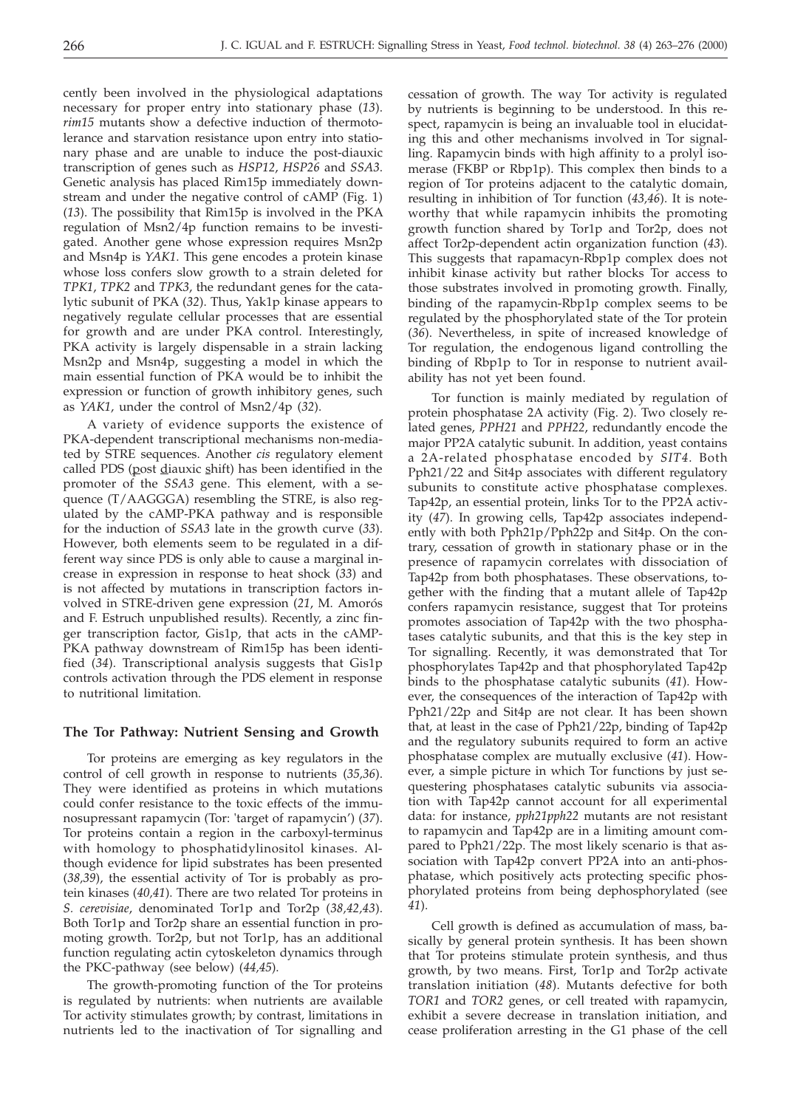cently been involved in the physiological adaptations necessary for proper entry into stationary phase (*13*). *rim15* mutants show a defective induction of thermotolerance and starvation resistance upon entry into stationary phase and are unable to induce the post-diauxic transcription of genes such as *HSP12*, *HSP26* and *SSA3*. Genetic analysis has placed Rim15p immediately downstream and under the negative control of cAMP (Fig. 1) (*13*). The possibility that Rim15p is involved in the PKA regulation of Msn2/4p function remains to be investigated. Another gene whose expression requires Msn2p and Msn4p is *YAK1*. This gene encodes a protein kinase whose loss confers slow growth to a strain deleted for *TPK1*, *TPK2* and *TPK3*, the redundant genes for the catalytic subunit of PKA (*32*). Thus, Yak1p kinase appears to negatively regulate cellular processes that are essential for growth and are under PKA control. Interestingly, PKA activity is largely dispensable in a strain lacking Msn2p and Msn4p, suggesting a model in which the main essential function of PKA would be to inhibit the expression or function of growth inhibitory genes, such as *YAK1*, under the control of Msn2/4p (*32*).

A variety of evidence supports the existence of PKA-dependent transcriptional mechanisms non-mediated by STRE sequences. Another *cis* regulatory element called PDS (post diauxic shift) has been identified in the promoter of the *SSA3* gene. This element, with a sequence (T/AAGGGA) resembling the STRE, is also regulated by the cAMP-PKA pathway and is responsible for the induction of *SSA3* late in the growth curve (*33*). However, both elements seem to be regulated in a different way since PDS is only able to cause a marginal increase in expression in response to heat shock (*33*) and is not affected by mutations in transcription factors involved in STRE-driven gene expression (*21*, M. Amorós and F. Estruch unpublished results). Recently, a zinc finger transcription factor, Gis1p, that acts in the cAMP-PKA pathway downstream of Rim15p has been identified (*34*). Transcriptional analysis suggests that Gis1p controls activation through the PDS element in response to nutritional limitation.

# **The Tor Pathway: Nutrient Sensing and Growth**

Tor proteins are emerging as key regulators in the control of cell growth in response to nutrients (*35,36*). They were identified as proteins in which mutations could confer resistance to the toxic effects of the immunosupressant rapamycin (Tor: 'target of rapamycin') (*37*). Tor proteins contain a region in the carboxyl-terminus with homology to phosphatidylinositol kinases. Although evidence for lipid substrates has been presented (*38,39*), the essential activity of Tor is probably as protein kinases (*40,41*). There are two related Tor proteins in *S. cerevisiae*, denominated Tor1p and Tor2p (*38,42,43*). Both Tor1p and Tor2p share an essential function in promoting growth. Tor2p, but not Tor1p, has an additional function regulating actin cytoskeleton dynamics through the PKC-pathway (see below) (*44,45*).

The growth-promoting function of the Tor proteins is regulated by nutrients: when nutrients are available Tor activity stimulates growth; by contrast, limitations in nutrients led to the inactivation of Tor signalling and

cessation of growth. The way Tor activity is regulated by nutrients is beginning to be understood. In this respect, rapamycin is being an invaluable tool in elucidating this and other mechanisms involved in Tor signalling. Rapamycin binds with high affinity to a prolyl isomerase (FKBP or Rbp1p). This complex then binds to a region of Tor proteins adjacent to the catalytic domain, resulting in inhibition of Tor function (*43,46*). It is noteworthy that while rapamycin inhibits the promoting growth function shared by Tor1p and Tor2p, does not affect Tor2p-dependent actin organization function (*43*). This suggests that rapamacyn-Rbp1p complex does not inhibit kinase activity but rather blocks Tor access to those substrates involved in promoting growth. Finally, binding of the rapamycin-Rbp1p complex seems to be regulated by the phosphorylated state of the Tor protein (*36*). Nevertheless, in spite of increased knowledge of Tor regulation, the endogenous ligand controlling the binding of Rbp1p to Tor in response to nutrient availability has not yet been found.

Tor function is mainly mediated by regulation of protein phosphatase 2A activity (Fig. 2). Two closely related genes, *PPH21* and *PPH22*, redundantly encode the major PP2A catalytic subunit. In addition, yeast contains a 2A-related phosphatase encoded by *SIT4*. Both Pph21/22 and Sit4p associates with different regulatory subunits to constitute active phosphatase complexes. Tap42p, an essential protein, links Tor to the PP2A activity (*47*). In growing cells, Tap42p associates independently with both Pph21p/Pph22p and Sit4p. On the contrary, cessation of growth in stationary phase or in the presence of rapamycin correlates with dissociation of Tap42p from both phosphatases. These observations, together with the finding that a mutant allele of Tap42p confers rapamycin resistance, suggest that Tor proteins promotes association of Tap42p with the two phosphatases catalytic subunits, and that this is the key step in Tor signalling. Recently, it was demonstrated that Tor phosphorylates Tap42p and that phosphorylated Tap42p binds to the phosphatase catalytic subunits (*41*). However, the consequences of the interaction of Tap42p with Pph21/22p and Sit4p are not clear. It has been shown that, at least in the case of Pph21/22p, binding of Tap42p and the regulatory subunits required to form an active phosphatase complex are mutually exclusive (*41*). However, a simple picture in which Tor functions by just sequestering phosphatases catalytic subunits via association with Tap42p cannot account for all experimental data: for instance, *pph21pph22* mutants are not resistant to rapamycin and Tap42p are in a limiting amount compared to Pph21/22p. The most likely scenario is that association with Tap42p convert PP2A into an anti-phosphatase, which positively acts protecting specific phosphorylated proteins from being dephosphorylated (see *41*).

Cell growth is defined as accumulation of mass, basically by general protein synthesis. It has been shown that Tor proteins stimulate protein synthesis, and thus growth, by two means. First, Tor1p and Tor2p activate translation initiation (*48*). Mutants defective for both *TOR1* and *TOR2* genes, or cell treated with rapamycin, exhibit a severe decrease in translation initiation, and cease proliferation arresting in the G1 phase of the cell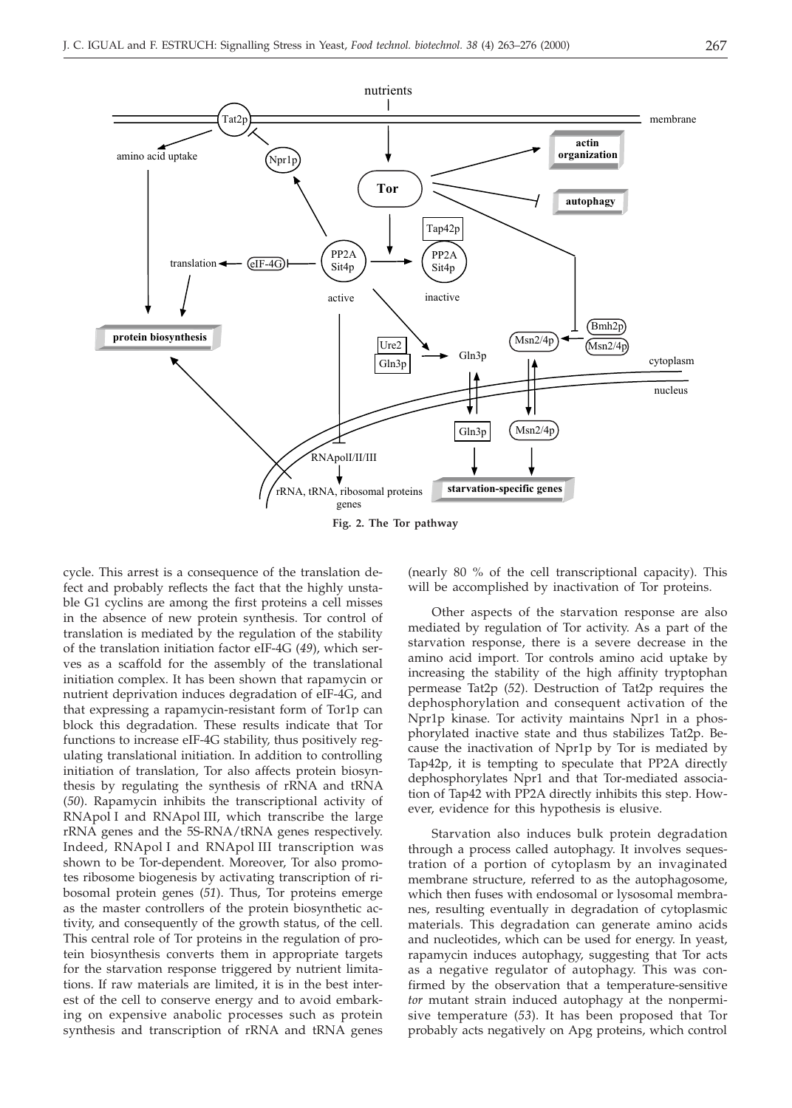

**Fig. 2. The Tor pathway**

cycle. This arrest is a consequence of the translation defect and probably reflects the fact that the highly unstable G1 cyclins are among the first proteins a cell misses in the absence of new protein synthesis. Tor control of translation is mediated by the regulation of the stability of the translation initiation factor eIF-4G (*49*), which serves as a scaffold for the assembly of the translational initiation complex. It has been shown that rapamycin or nutrient deprivation induces degradation of eIF-4G, and that expressing a rapamycin-resistant form of Tor1p can block this degradation. These results indicate that Tor functions to increase eIF-4G stability, thus positively regulating translational initiation. In addition to controlling initiation of translation, Tor also affects protein biosynthesis by regulating the synthesis of rRNA and tRNA (*50*). Rapamycin inhibits the transcriptional activity of RNApol I and RNApol III, which transcribe the large rRNA genes and the 5S-RNA/tRNA genes respectively. Indeed, RNApol I and RNApol III transcription was shown to be Tor-dependent. Moreover, Tor also promotes ribosome biogenesis by activating transcription of ribosomal protein genes (*51*). Thus, Tor proteins emerge as the master controllers of the protein biosynthetic activity, and consequently of the growth status, of the cell. This central role of Tor proteins in the regulation of protein biosynthesis converts them in appropriate targets for the starvation response triggered by nutrient limitations. If raw materials are limited, it is in the best interest of the cell to conserve energy and to avoid embarking on expensive anabolic processes such as protein synthesis and transcription of rRNA and tRNA genes

(nearly 80 % of the cell transcriptional capacity). This will be accomplished by inactivation of Tor proteins.

Other aspects of the starvation response are also mediated by regulation of Tor activity. As a part of the starvation response, there is a severe decrease in the amino acid import. Tor controls amino acid uptake by increasing the stability of the high affinity tryptophan permease Tat2p (*52*). Destruction of Tat2p requires the dephosphorylation and consequent activation of the Npr1p kinase. Tor activity maintains Npr1 in a phosphorylated inactive state and thus stabilizes Tat2p. Because the inactivation of Npr1p by Tor is mediated by Tap42p, it is tempting to speculate that PP2A directly dephosphorylates Npr1 and that Tor-mediated association of Tap42 with PP2A directly inhibits this step. However, evidence for this hypothesis is elusive.

Starvation also induces bulk protein degradation through a process called autophagy. It involves sequestration of a portion of cytoplasm by an invaginated membrane structure, referred to as the autophagosome, which then fuses with endosomal or lysosomal membranes, resulting eventually in degradation of cytoplasmic materials. This degradation can generate amino acids and nucleotides, which can be used for energy. In yeast, rapamycin induces autophagy, suggesting that Tor acts as a negative regulator of autophagy. This was confirmed by the observation that a temperature-sensitive *tor* mutant strain induced autophagy at the nonpermisive temperature (*53*). It has been proposed that Tor probably acts negatively on Apg proteins, which control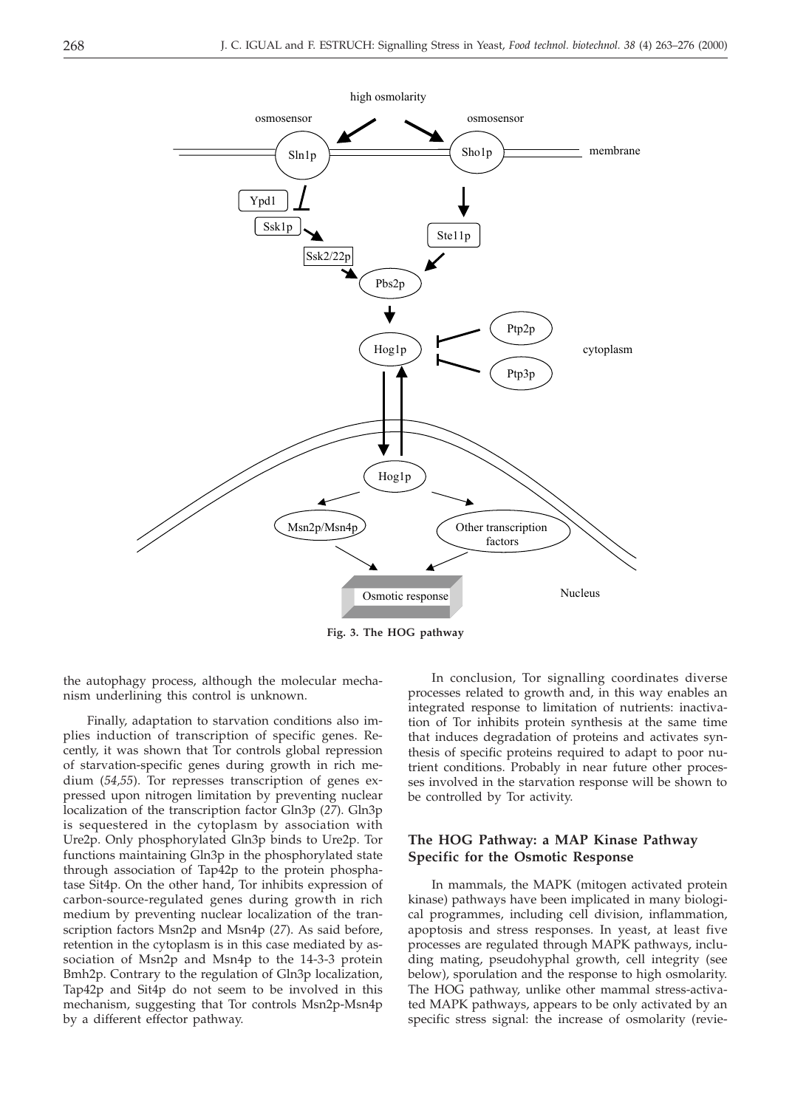

**Fig. 3. The HOG pathway**

the autophagy process, although the molecular mechanism underlining this control is unknown.

Finally, adaptation to starvation conditions also implies induction of transcription of specific genes. Recently, it was shown that Tor controls global repression of starvation-specific genes during growth in rich medium (*54,55*). Tor represses transcription of genes expressed upon nitrogen limitation by preventing nuclear localization of the transcription factor Gln3p (*27*). Gln3p is sequestered in the cytoplasm by association with Ure2p. Only phosphorylated Gln3p binds to Ure2p. Tor functions maintaining Gln3p in the phosphorylated state through association of Tap42p to the protein phosphatase Sit4p. On the other hand, Tor inhibits expression of carbon-source-regulated genes during growth in rich medium by preventing nuclear localization of the transcription factors Msn2p and Msn4p (*27*). As said before, retention in the cytoplasm is in this case mediated by association of Msn2p and Msn4p to the 14-3-3 protein Bmh2p. Contrary to the regulation of Gln3p localization, Tap42p and Sit4p do not seem to be involved in this mechanism, suggesting that Tor controls Msn2p-Msn4p by a different effector pathway.

In conclusion, Tor signalling coordinates diverse processes related to growth and, in this way enables an integrated response to limitation of nutrients: inactivation of Tor inhibits protein synthesis at the same time that induces degradation of proteins and activates synthesis of specific proteins required to adapt to poor nutrient conditions. Probably in near future other processes involved in the starvation response will be shown to be controlled by Tor activity.

# **The HOG Pathway: a MAP Kinase Pathway Specific for the Osmotic Response**

In mammals, the MAPK (mitogen activated protein kinase) pathways have been implicated in many biological programmes, including cell division, inflammation, apoptosis and stress responses. In yeast, at least five processes are regulated through MAPK pathways, including mating, pseudohyphal growth, cell integrity (see below), sporulation and the response to high osmolarity. The HOG pathway, unlike other mammal stress-activated MAPK pathways, appears to be only activated by an specific stress signal: the increase of osmolarity (revie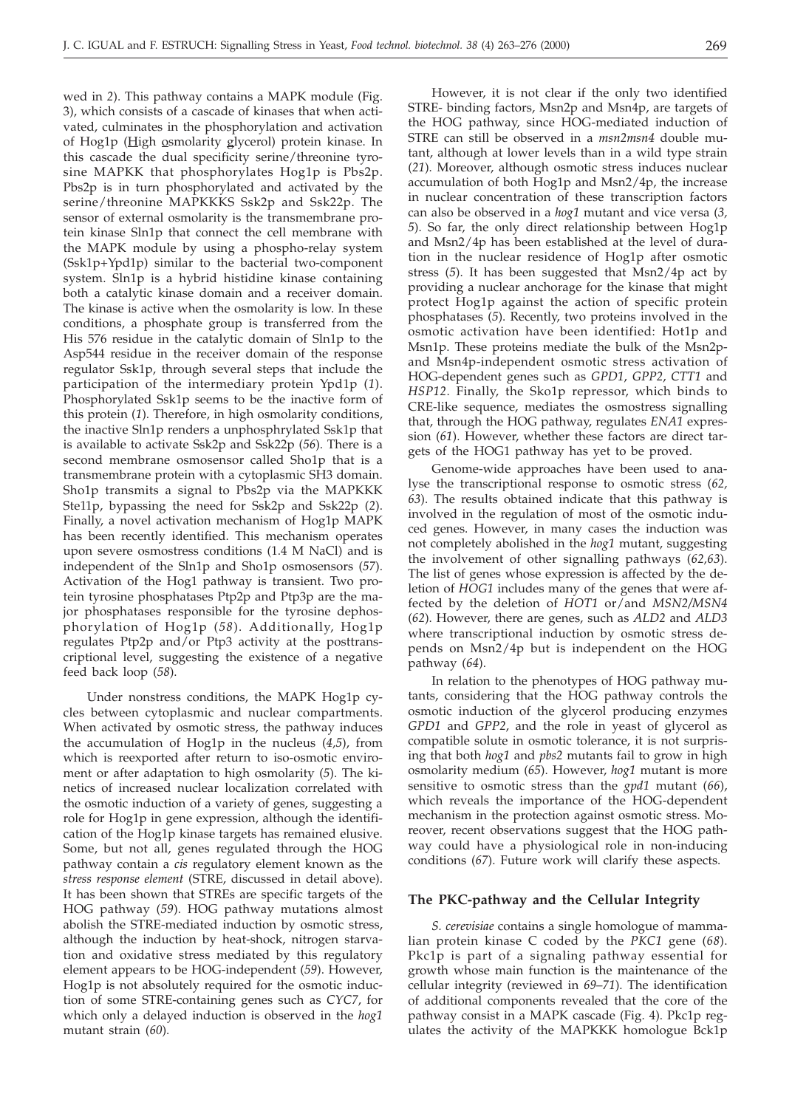wed in *2*). This pathway contains a MAPK module (Fig. 3), which consists of a cascade of kinases that when activated, culminates in the phosphorylation and activation of Hog1p (High osmolarity glycerol) protein kinase. In this cascade the dual specificity serine/threonine tyrosine MAPKK that phosphorylates Hog1p is Pbs2p. Pbs2p is in turn phosphorylated and activated by the serine/threonine MAPKKKS Ssk2p and Ssk22p. The sensor of external osmolarity is the transmembrane protein kinase Sln1p that connect the cell membrane with the MAPK module by using a phospho-relay system (Ssk1p+Ypd1p) similar to the bacterial two-component system. Sln1p is a hybrid histidine kinase containing both a catalytic kinase domain and a receiver domain. The kinase is active when the osmolarity is low. In these conditions, a phosphate group is transferred from the His 576 residue in the catalytic domain of Sln1p to the Asp544 residue in the receiver domain of the response regulator Ssk1p, through several steps that include the participation of the intermediary protein Ypd1p (*1*). Phosphorylated Ssk1p seems to be the inactive form of this protein (*1*). Therefore, in high osmolarity conditions, the inactive Sln1p renders a unphosphrylated Ssk1p that is available to activate Ssk2p and Ssk22p (*56*). There is a second membrane osmosensor called Sho1p that is a transmembrane protein with a cytoplasmic SH3 domain. Sho1p transmits a signal to Pbs2p via the MAPKKK Ste11p, bypassing the need for Ssk2p and Ssk22p (*2*). Finally, a novel activation mechanism of Hog1p MAPK has been recently identified. This mechanism operates upon severe osmostress conditions (1.4 M NaCl) and is independent of the Sln1p and Sho1p osmosensors (*57*). Activation of the Hog1 pathway is transient. Two protein tyrosine phosphatases Ptp2p and Ptp3p are the major phosphatases responsible for the tyrosine dephosphorylation of Hog1p (*58*). Additionally, Hog1p regulates Ptp2p and/or Ptp3 activity at the posttranscriptional level, suggesting the existence of a negative feed back loop (*58*).

Under nonstress conditions, the MAPK Hog1p cycles between cytoplasmic and nuclear compartments. When activated by osmotic stress, the pathway induces the accumulation of Hog1p in the nucleus (*4,5*), from which is reexported after return to iso-osmotic enviroment or after adaptation to high osmolarity (*5*). The kinetics of increased nuclear localization correlated with the osmotic induction of a variety of genes, suggesting a role for Hog1p in gene expression, although the identification of the Hog1p kinase targets has remained elusive. Some, but not all, genes regulated through the HOG pathway contain a *cis* regulatory element known as the *stress response element* (STRE, discussed in detail above). It has been shown that STREs are specific targets of the HOG pathway (*59*). HOG pathway mutations almost abolish the STRE-mediated induction by osmotic stress, although the induction by heat-shock, nitrogen starvation and oxidative stress mediated by this regulatory element appears to be HOG-independent (*59*). However, Hog1p is not absolutely required for the osmotic induction of some STRE-containing genes such as *CYC7*, for which only a delayed induction is observed in the *hog1* mutant strain (*60*).

However, it is not clear if the only two identified STRE- binding factors, Msn2p and Msn4p, are targets of the HOG pathway, since HOG-mediated induction of STRE can still be observed in a *msn2msn4* double mutant, although at lower levels than in a wild type strain (*21*). Moreover, although osmotic stress induces nuclear accumulation of both Hog1p and Msn2/4p, the increase in nuclear concentration of these transcription factors can also be observed in a *hog1* mutant and vice versa (*3, 5*). So far, the only direct relationship between Hog1p and Msn2/4p has been established at the level of duration in the nuclear residence of Hog1p after osmotic stress (*5*). It has been suggested that Msn2/4p act by providing a nuclear anchorage for the kinase that might protect Hog1p against the action of specific protein phosphatases (*5*). Recently, two proteins involved in the osmotic activation have been identified: Hot1p and Msn1p. These proteins mediate the bulk of the Msn2pand Msn4p-independent osmotic stress activation of HOG-dependent genes such as *GPD1*, *GPP2*, *CTT1* and *HSP12*. Finally, the Sko1p repressor, which binds to CRE-like sequence, mediates the osmostress signalling that, through the HOG pathway, regulates *ENA1* expression (*61*). However, whether these factors are direct targets of the HOG1 pathway has yet to be proved.

Genome-wide approaches have been used to analyse the transcriptional response to osmotic stress (*62, 63*). The results obtained indicate that this pathway is involved in the regulation of most of the osmotic induced genes. However, in many cases the induction was not completely abolished in the *hog1* mutant, suggesting the involvement of other signalling pathways (*62,63*). The list of genes whose expression is affected by the deletion of *HOG1* includes many of the genes that were affected by the deletion of *HOT1* or/and *MSN2/MSN4* (*62*). However, there are genes, such as *ALD2* and *ALD3* where transcriptional induction by osmotic stress depends on Msn2/4p but is independent on the HOG pathway (*64*).

In relation to the phenotypes of HOG pathway mutants, considering that the HOG pathway controls the osmotic induction of the glycerol producing enzymes *GPD1* and *GPP2*, and the role in yeast of glycerol as compatible solute in osmotic tolerance, it is not surprising that both *hog1* and *pbs2* mutants fail to grow in high osmolarity medium (*65*). However, *hog1* mutant is more sensitive to osmotic stress than the *gpd1* mutant (*66*), which reveals the importance of the HOG-dependent mechanism in the protection against osmotic stress. Moreover, recent observations suggest that the HOG pathway could have a physiological role in non-inducing conditions (*67*). Future work will clarify these aspects.

#### **The PKC-pathway and the Cellular Integrity**

*S. cerevisiae* contains a single homologue of mammalian protein kinase C coded by the *PKC1* gene (*68*). Pkc1p is part of a signaling pathway essential for growth whose main function is the maintenance of the cellular integrity (reviewed in *69*–*71*). The identification of additional components revealed that the core of the pathway consist in a MAPK cascade (Fig. 4). Pkc1p regulates the activity of the MAPKKK homologue Bck1p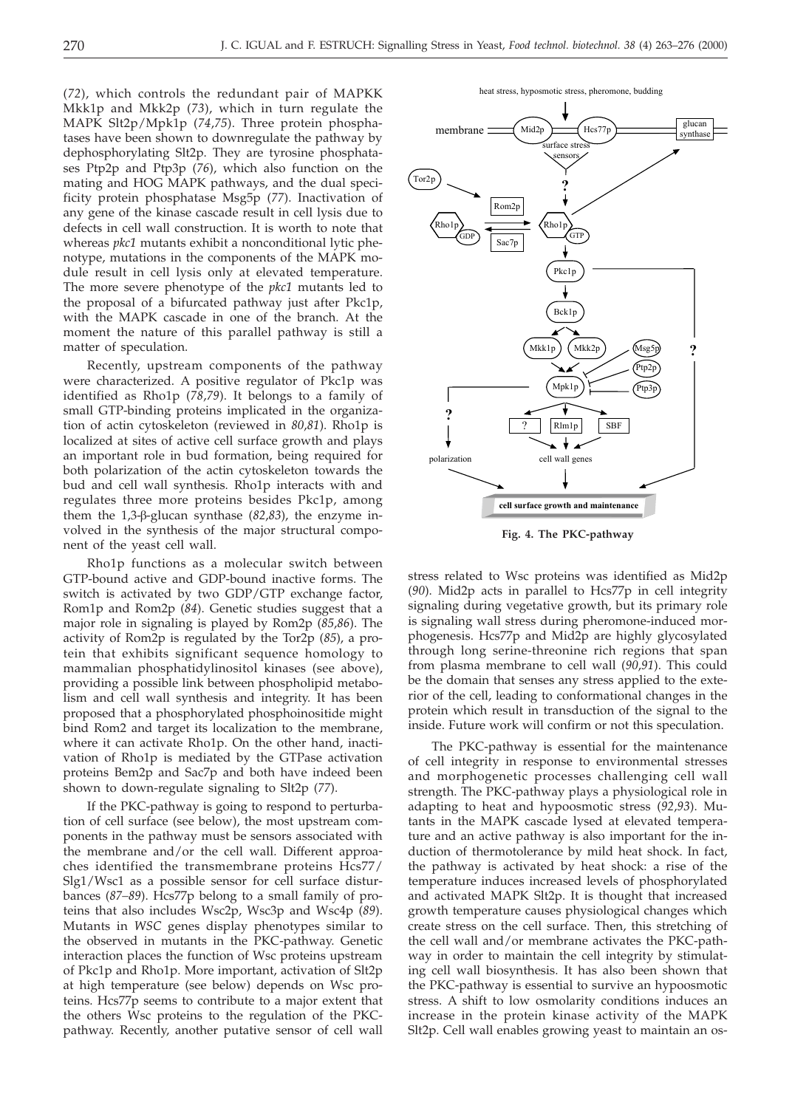(*72*), which controls the redundant pair of MAPKK Mkk1p and Mkk2p (*73*), which in turn regulate the MAPK Slt2p/Mpk1p (*74*,*75*). Three protein phosphatases have been shown to downregulate the pathway by dephosphorylating Slt2p. They are tyrosine phosphatases Ptp2p and Ptp3p (*76*), which also function on the mating and HOG MAPK pathways, and the dual specificity protein phosphatase Msg5p (*77*). Inactivation of any gene of the kinase cascade result in cell lysis due to defects in cell wall construction. It is worth to note that whereas *pkc1* mutants exhibit a nonconditional lytic phenotype, mutations in the components of the MAPK module result in cell lysis only at elevated temperature. The more severe phenotype of the *pkc1* mutants led to the proposal of a bifurcated pathway just after Pkc1p, with the MAPK cascade in one of the branch. At the moment the nature of this parallel pathway is still a matter of speculation.

Recently, upstream components of the pathway were characterized. A positive regulator of Pkc1p was identified as Rho1p (*78*,*79*). It belongs to a family of small GTP-binding proteins implicated in the organization of actin cytoskeleton (reviewed in *80*,*81*). Rho1p is localized at sites of active cell surface growth and plays an important role in bud formation, being required for both polarization of the actin cytoskeleton towards the bud and cell wall synthesis. Rho1p interacts with and regulates three more proteins besides Pkc1p, among them the  $1,3$ - $\beta$ -glucan synthase ( $82,83$ ), the enzyme involved in the synthesis of the major structural component of the yeast cell wall.

Rho1p functions as a molecular switch between GTP-bound active and GDP-bound inactive forms. The switch is activated by two GDP/GTP exchange factor, Rom1p and Rom2p (*84*). Genetic studies suggest that a major role in signaling is played by Rom2p (*85*,*86*). The activity of Rom2p is regulated by the Tor2p (*85*), a protein that exhibits significant sequence homology to mammalian phosphatidylinositol kinases (see above), providing a possible link between phospholipid metabolism and cell wall synthesis and integrity. It has been proposed that a phosphorylated phosphoinositide might bind Rom2 and target its localization to the membrane, where it can activate Rho1p. On the other hand, inactivation of Rho1p is mediated by the GTPase activation proteins Bem2p and Sac7p and both have indeed been shown to down-regulate signaling to Slt2p (*77*).

If the PKC-pathway is going to respond to perturbation of cell surface (see below), the most upstream components in the pathway must be sensors associated with the membrane and/or the cell wall. Different approaches identified the transmembrane proteins Hcs77/ Slg1/Wsc1 as a possible sensor for cell surface disturbances (*87–89*). Hcs77p belong to a small family of proteins that also includes Wsc2p, Wsc3p and Wsc4p (*89*). Mutants in *WSC* genes display phenotypes similar to the observed in mutants in the PKC-pathway. Genetic interaction places the function of Wsc proteins upstream of Pkc1p and Rho1p. More important, activation of Slt2p at high temperature (see below) depends on Wsc proteins. Hcs77p seems to contribute to a major extent that the others Wsc proteins to the regulation of the PKCpathway. Recently, another putative sensor of cell wall



**Fig. 4. The PKC-pathway**

stress related to Wsc proteins was identified as Mid2p (*90*). Mid2p acts in parallel to Hcs77p in cell integrity signaling during vegetative growth, but its primary role is signaling wall stress during pheromone-induced morphogenesis. Hcs77p and Mid2p are highly glycosylated through long serine-threonine rich regions that span from plasma membrane to cell wall (*90*,*91*). This could be the domain that senses any stress applied to the exterior of the cell, leading to conformational changes in the protein which result in transduction of the signal to the inside. Future work will confirm or not this speculation.

The PKC-pathway is essential for the maintenance of cell integrity in response to environmental stresses and morphogenetic processes challenging cell wall strength. The PKC-pathway plays a physiological role in adapting to heat and hypoosmotic stress (*92*,*93*). Mutants in the MAPK cascade lysed at elevated temperature and an active pathway is also important for the induction of thermotolerance by mild heat shock. In fact, the pathway is activated by heat shock: a rise of the temperature induces increased levels of phosphorylated and activated MAPK Slt2p. It is thought that increased growth temperature causes physiological changes which create stress on the cell surface. Then, this stretching of the cell wall and/or membrane activates the PKC-pathway in order to maintain the cell integrity by stimulating cell wall biosynthesis. It has also been shown that the PKC-pathway is essential to survive an hypoosmotic stress. A shift to low osmolarity conditions induces an increase in the protein kinase activity of the MAPK Slt2p. Cell wall enables growing yeast to maintain an os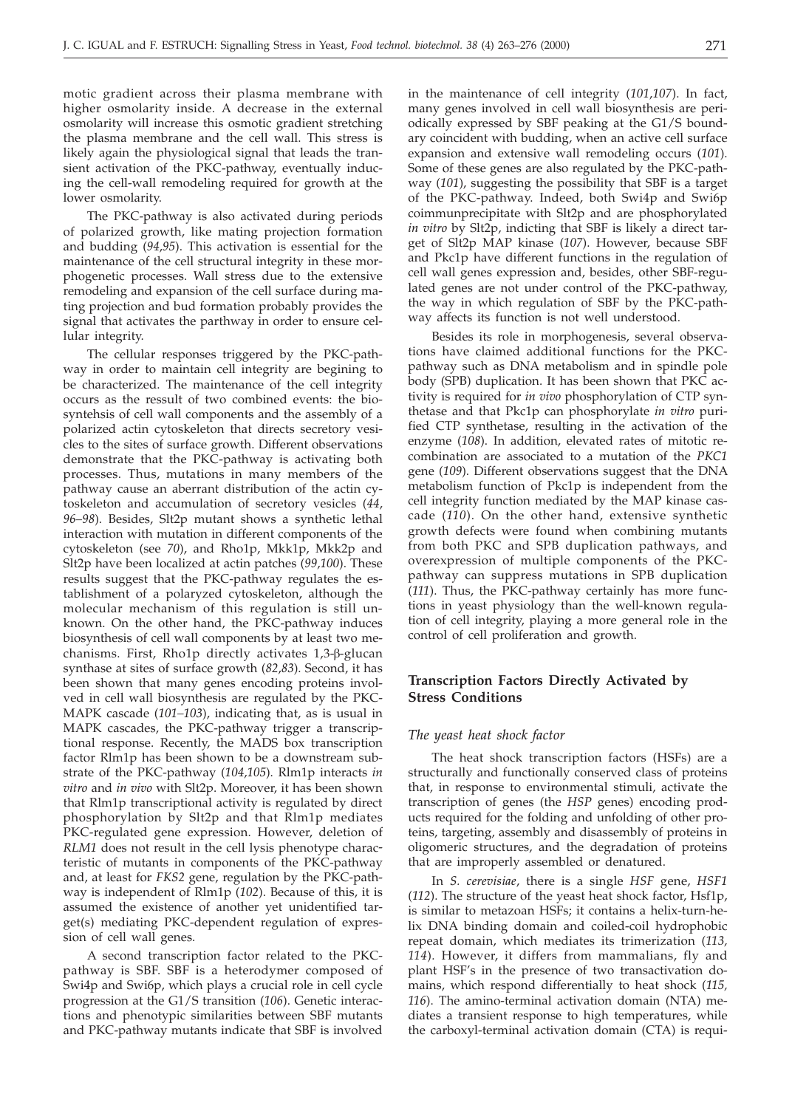motic gradient across their plasma membrane with higher osmolarity inside. A decrease in the external osmolarity will increase this osmotic gradient stretching the plasma membrane and the cell wall. This stress is likely again the physiological signal that leads the transient activation of the PKC-pathway, eventually inducing the cell-wall remodeling required for growth at the lower osmolarity.

The PKC-pathway is also activated during periods of polarized growth, like mating projection formation and budding (*94*,*95*). This activation is essential for the maintenance of the cell structural integrity in these morphogenetic processes. Wall stress due to the extensive remodeling and expansion of the cell surface during mating projection and bud formation probably provides the signal that activates the parthway in order to ensure cellular integrity.

The cellular responses triggered by the PKC-pathway in order to maintain cell integrity are begining to be characterized. The maintenance of the cell integrity occurs as the ressult of two combined events: the biosyntehsis of cell wall components and the assembly of a polarized actin cytoskeleton that directs secretory vesicles to the sites of surface growth. Different observations demonstrate that the PKC-pathway is activating both processes. Thus, mutations in many members of the pathway cause an aberrant distribution of the actin cytoskeleton and accumulation of secretory vesicles (*44*, *96–98*). Besides, Slt2p mutant shows a synthetic lethal interaction with mutation in different components of the cytoskeleton (see *70*), and Rho1p, Mkk1p, Mkk2p and Slt2p have been localized at actin patches (*99*,*100*). These results suggest that the PKC-pathway regulates the establishment of a polaryzed cytoskeleton, although the molecular mechanism of this regulation is still unknown. On the other hand, the PKC-pathway induces biosynthesis of cell wall components by at least two mechanisms. First, Rho1p directly activates 1,3-ß-glucan synthase at sites of surface growth (*82*,*83*). Second, it has been shown that many genes encoding proteins involved in cell wall biosynthesis are regulated by the PKC-MAPK cascade (*101–103*), indicating that, as is usual in MAPK cascades, the PKC-pathway trigger a transcriptional response. Recently, the MADS box transcription factor Rlm1p has been shown to be a downstream substrate of the PKC-pathway (*104*,*105*). Rlm1p interacts *in vitro* and *in vivo* with Slt2p. Moreover, it has been shown that Rlm1p transcriptional activity is regulated by direct phosphorylation by Slt2p and that Rlm1p mediates PKC-regulated gene expression. However, deletion of *RLM1* does not result in the cell lysis phenotype characteristic of mutants in components of the PKC-pathway and, at least for *FKS2* gene, regulation by the PKC-pathway is independent of Rlm1p (*102*). Because of this, it is assumed the existence of another yet unidentified target(s) mediating PKC-dependent regulation of expression of cell wall genes.

A second transcription factor related to the PKCpathway is SBF. SBF is a heterodymer composed of Swi4p and Swi6p, which plays a crucial role in cell cycle progression at the G1/S transition (*106*). Genetic interactions and phenotypic similarities between SBF mutants and PKC-pathway mutants indicate that SBF is involved

in the maintenance of cell integrity (*101*,*107*). In fact, many genes involved in cell wall biosynthesis are periodically expressed by SBF peaking at the G1/S boundary coincident with budding, when an active cell surface expansion and extensive wall remodeling occurs (*101*). Some of these genes are also regulated by the PKC-pathway (*101*), suggesting the possibility that SBF is a target of the PKC-pathway. Indeed, both Swi4p and Swi6p coimmunprecipitate with Slt2p and are phosphorylated *in vitro* by Slt2p, indicting that SBF is likely a direct target of Slt2p MAP kinase (*107*). However, because SBF and Pkc1p have different functions in the regulation of cell wall genes expression and, besides, other SBF-regulated genes are not under control of the PKC-pathway, the way in which regulation of SBF by the PKC-pathway affects its function is not well understood.

Besides its role in morphogenesis, several observations have claimed additional functions for the PKCpathway such as DNA metabolism and in spindle pole body (SPB) duplication. It has been shown that PKC activity is required for *in vivo* phosphorylation of CTP synthetase and that Pkc1p can phosphorylate *in vitro* purified CTP synthetase, resulting in the activation of the enzyme (*108*). In addition, elevated rates of mitotic recombination are associated to a mutation of the *PKC1* gene (*109*). Different observations suggest that the DNA metabolism function of Pkc1p is independent from the cell integrity function mediated by the MAP kinase cascade (*110*). On the other hand, extensive synthetic growth defects were found when combining mutants from both PKC and SPB duplication pathways, and overexpression of multiple components of the PKCpathway can suppress mutations in SPB duplication (*111*). Thus, the PKC-pathway certainly has more functions in yeast physiology than the well-known regulation of cell integrity, playing a more general role in the control of cell proliferation and growth.

# **Transcription Factors Directly Activated by Stress Conditions**

#### *The yeast heat shock factor*

The heat shock transcription factors (HSFs) are a structurally and functionally conserved class of proteins that, in response to environmental stimuli, activate the transcription of genes (the *HSP* genes) encoding products required for the folding and unfolding of other proteins, targeting, assembly and disassembly of proteins in oligomeric structures, and the degradation of proteins that are improperly assembled or denatured.

In *S. cerevisiae*, there is a single *HSF* gene, *HSF1* (*112*). The structure of the yeast heat shock factor, Hsf1p, is similar to metazoan HSFs; it contains a helix-turn-helix DNA binding domain and coiled-coil hydrophobic repeat domain, which mediates its trimerization (*113, 114*). However, it differs from mammalians, fly and plant HSF's in the presence of two transactivation domains, which respond differentially to heat shock (*115, 116*). The amino-terminal activation domain (NTA) mediates a transient response to high temperatures, while the carboxyl-terminal activation domain (CTA) is requi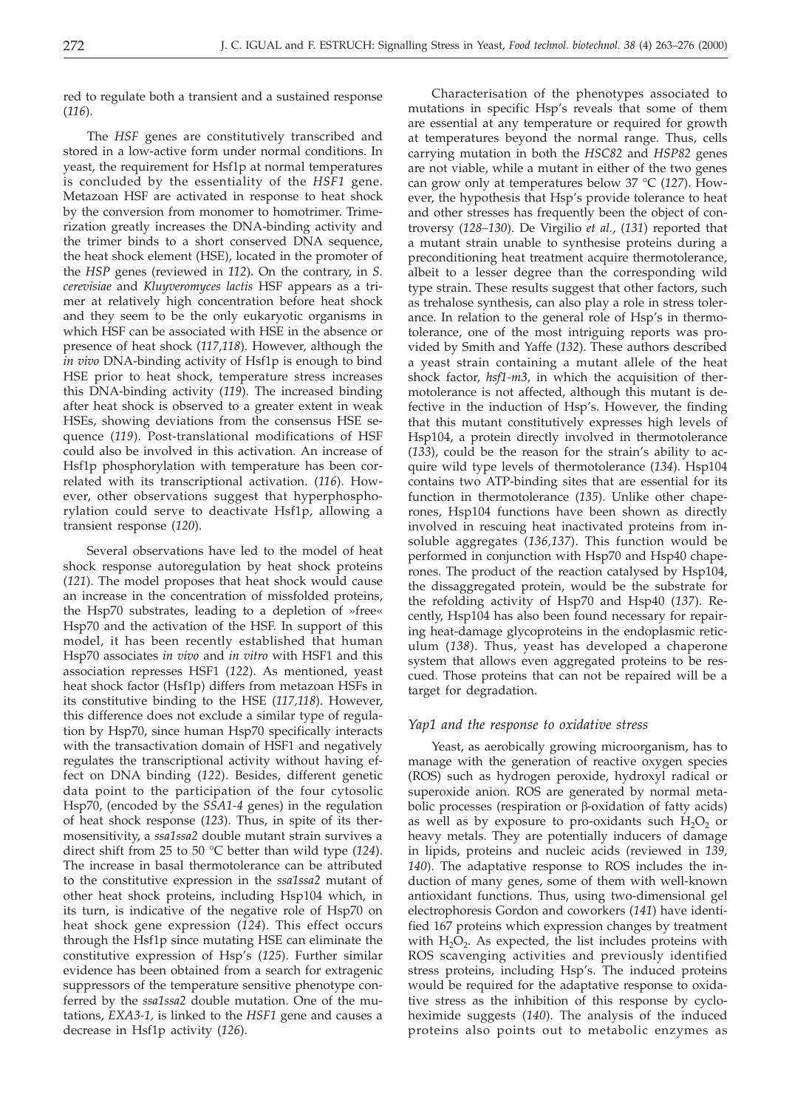red to regulate both a transient and a sustained response (*116*).

The *HSF* genes are constitutively transcribed and stored in a low-active form under normal conditions. In yeast, the requirement for Hsf1p at normal temperatures is concluded by the essentiality of the *HSF1* gene. Metazoan HSF are activated in response to heat shock by the conversion from monomer to homotrimer. Trimerization greatly increases the DNA-binding activity and the trimer binds to a short conserved DNA sequence, the heat shock element (HSE), located in the promoter of the *HSP* genes (reviewed in *112*). On the contrary, in *S. cerevisiae* and *Kluyveromyces lactis* HSF appears as a trimer at relatively high concentration before heat shock and they seem to be the only eukaryotic organisms in which HSF can be associated with HSE in the absence or presence of heat shock (*117,118*). However, although the *in vivo* DNA-binding activity of Hsf1p is enough to bind HSE prior to heat shock, temperature stress increases this DNA-binding activity (*119*). The increased binding after heat shock is observed to a greater extent in weak HSEs, showing deviations from the consensus HSE sequence (*119*). Post-translational modifications of HSF could also be involved in this activation. An increase of Hsf1p phosphorylation with temperature has been correlated with its transcriptional activation. (*116*). However, other observations suggest that hyperphosphorylation could serve to deactivate Hsf1p, allowing a transient response (*120*).

Several observations have led to the model of heat shock response autoregulation by heat shock proteins (*121*). The model proposes that heat shock would cause an increase in the concentration of missfolded proteins, the Hsp70 substrates, leading to a depletion of »free« Hsp70 and the activation of the HSF. In support of this model, it has been recently established that human Hsp70 associates *in vivo* and *in vitro* with HSF1 and this association represses HSF1 (*122*). As mentioned, yeast heat shock factor (Hsf1p) differs from metazoan HSFs in its constitutive binding to the HSE (*117,118*). However, this difference does not exclude a similar type of regulation by Hsp70, since human Hsp70 specifically interacts with the transactivation domain of HSF1 and negatively regulates the transcriptional activity without having effect on DNA binding (*122*). Besides, different genetic data point to the participation of the four cytosolic Hsp70, (encoded by the *SSA1-4* genes) in the regulation of heat shock response (*123*). Thus, in spite of its thermosensitivity, a *ssa1ssa2* double mutant strain survives a direct shift from 25 to 50 °C better than wild type (*124*). The increase in basal thermotolerance can be attributed to the constitutive expression in the *ssa1ssa2* mutant of other heat shock proteins, including Hsp104 which, in its turn, is indicative of the negative role of Hsp70 on heat shock gene expression (*124*). This effect occurs through the Hsf1p since mutating HSE can eliminate the constitutive expression of Hsp's (*125*). Further similar evidence has been obtained from a search for extragenic suppressors of the temperature sensitive phenotype conferred by the *ssa1ssa2* double mutation. One of the mutations, *EXA3-1,* is linked to the *HSF1* gene and causes a decrease in Hsf1p activity (*126*).

Characterisation of the phenotypes associated to mutations in specific Hsp's reveals that some of them are essential at any temperature or required for growth at temperatures beyond the normal range. Thus, cells carrying mutation in both the *HSC82* and *HSP82* genes are not viable, while a mutant in either of the two genes can grow only at temperatures below 37 °C (*127*). However, the hypothesis that Hsp's provide tolerance to heat and other stresses has frequently been the object of controversy (*128–130*). De Virgilio *et al.*, (*131*) reported that a mutant strain unable to synthesise proteins during a preconditioning heat treatment acquire thermotolerance, albeit to a lesser degree than the corresponding wild type strain. These results suggest that other factors, such as trehalose synthesis, can also play a role in stress tolerance. In relation to the general role of Hsp's in thermotolerance, one of the most intriguing reports was provided by Smith and Yaffe (*132*). These authors described a yeast strain containing a mutant allele of the heat shock factor, *hsf1-m3*, in which the acquisition of thermotolerance is not affected, although this mutant is defective in the induction of Hsp's. However, the finding that this mutant constitutively expresses high levels of Hsp104, a protein directly involved in thermotolerance (*133*), could be the reason for the strain's ability to acquire wild type levels of thermotolerance (*134*). Hsp104 contains two ATP-binding sites that are essential for its function in thermotolerance (*135*). Unlike other chaperones, Hsp104 functions have been shown as directly involved in rescuing heat inactivated proteins from insoluble aggregates (*136,137*). This function would be performed in conjunction with Hsp70 and Hsp40 chaperones. The product of the reaction catalysed by Hsp104, the dissaggregated protein, would be the substrate for the refolding activity of Hsp70 and Hsp40 (*137*). Recently, Hsp104 has also been found necessary for repairing heat-damage glycoproteins in the endoplasmic reticulum (*138*). Thus, yeast has developed a chaperone system that allows even aggregated proteins to be rescued. Those proteins that can not be repaired will be a target for degradation.

# *Yap1 and the response to oxidative stress*

Yeast, as aerobically growing microorganism, has to manage with the generation of reactive oxygen species (ROS) such as hydrogen peroxide, hydroxyl radical or superoxide anion. ROS are generated by normal metabolic processes (respiration or  $\beta$ -oxidation of fatty acids) as well as by exposure to pro-oxidants such  $H_2O_2$  or heavy metals. They are potentially inducers of damage in lipids, proteins and nucleic acids (reviewed in *139, 140*). The adaptative response to ROS includes the induction of many genes, some of them with well-known antioxidant functions. Thus, using two-dimensional gel electrophoresis Gordon and coworkers (*141*) have identified 167 proteins which expression changes by treatment with  $H_2O_2$ . As expected, the list includes proteins with ROS scavenging activities and previously identified stress proteins, including Hsp's. The induced proteins would be required for the adaptative response to oxidative stress as the inhibition of this response by cycloheximide suggests (*140*). The analysis of the induced proteins also points out to metabolic enzymes as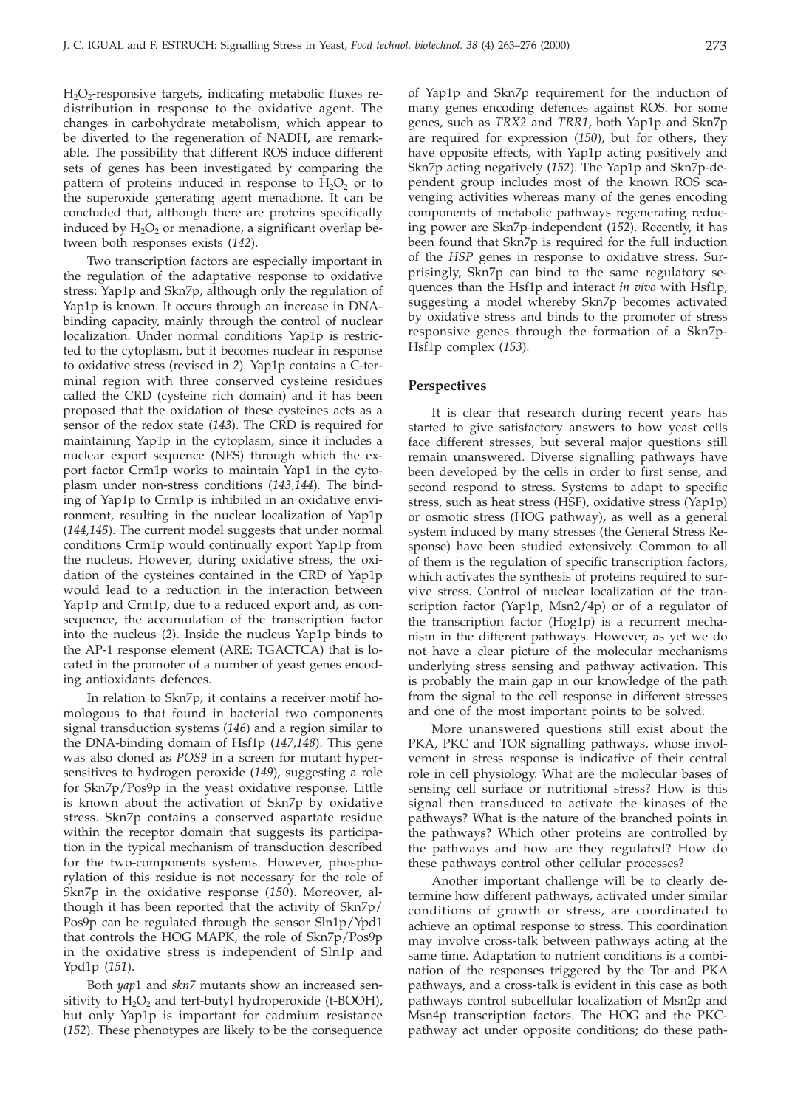$H_2O_2$ -responsive targets, indicating metabolic fluxes redistribution in response to the oxidative agent. The changes in carbohydrate metabolism, which appear to be diverted to the regeneration of NADH, are remarkable. The possibility that different ROS induce different sets of genes has been investigated by comparing the pattern of proteins induced in response to  $H_2O_2$  or to the superoxide generating agent menadione. It can be concluded that, although there are proteins specifically induced by  $H_2O_2$  or menadione, a significant overlap between both responses exists (*142*).

Two transcription factors are especially important in the regulation of the adaptative response to oxidative stress: Yap1p and Skn7p, although only the regulation of Yap1p is known. It occurs through an increase in DNAbinding capacity, mainly through the control of nuclear localization. Under normal conditions Yap1p is restricted to the cytoplasm, but it becomes nuclear in response to oxidative stress (revised in *2*). Yap1p contains a C-terminal region with three conserved cysteine residues called the CRD (cysteine rich domain) and it has been proposed that the oxidation of these cysteines acts as a sensor of the redox state (*143*). The CRD is required for maintaining Yap1p in the cytoplasm, since it includes a nuclear export sequence (NES) through which the export factor Crm1p works to maintain Yap1 in the cytoplasm under non-stress conditions (*143,144*). The binding of Yap1p to Crm1p is inhibited in an oxidative environment, resulting in the nuclear localization of Yap1p (*144,145*). The current model suggests that under normal conditions Crm1p would continually export Yap1p from the nucleus. However, during oxidative stress, the oxidation of the cysteines contained in the CRD of Yap1p would lead to a reduction in the interaction between Yap1p and Crm1p, due to a reduced export and, as consequence, the accumulation of the transcription factor into the nucleus (*2*). Inside the nucleus Yap1p binds to the AP-1 response element (ARE: TGACTCA) that is located in the promoter of a number of yeast genes encoding antioxidants defences.

In relation to Skn7p, it contains a receiver motif homologous to that found in bacterial two components signal transduction systems (*146*) and a region similar to the DNA-binding domain of Hsf1p (*147,148*). This gene was also cloned as *POS9* in a screen for mutant hypersensitives to hydrogen peroxide (*149*), suggesting a role for Skn7p/Pos9p in the yeast oxidative response. Little is known about the activation of Skn7p by oxidative stress. Skn7p contains a conserved aspartate residue within the receptor domain that suggests its participation in the typical mechanism of transduction described for the two-components systems. However, phosphorylation of this residue is not necessary for the role of Skn7p in the oxidative response (*150*). Moreover, although it has been reported that the activity of Skn7p/ Pos9p can be regulated through the sensor Sln1p/Ypd1 that controls the HOG MAPK, the role of Skn7p/Pos9p in the oxidative stress is independent of Sln1p and Ypd1p (*151*).

Both *yap*1 and *skn7* mutants show an increased sensitivity to  $H_2O_2$  and tert-butyl hydroperoxide (t-BOOH), but only Yap1p is important for cadmium resistance (*152*). These phenotypes are likely to be the consequence of Yap1p and Skn7p requirement for the induction of many genes encoding defences against ROS. For some genes, such as *TRX2* and *TRR1*, both Yap1p and Skn7p are required for expression (*150*), but for others, they have opposite effects, with Yap1p acting positively and Skn7p acting negatively (*152*). The Yap1p and Skn7p-dependent group includes most of the known ROS scavenging activities whereas many of the genes encoding components of metabolic pathways regenerating reducing power are Skn7p-independent (*152*). Recently, it has been found that Skn7p is required for the full induction of the *HSP* genes in response to oxidative stress. Surprisingly, Skn7p can bind to the same regulatory sequences than the Hsf1p and interact *in vivo* with Hsf1p, suggesting a model whereby Skn7p becomes activated by oxidative stress and binds to the promoter of stress responsive genes through the formation of a Skn7p-Hsf1p complex (*153*).

## **Perspectives**

It is clear that research during recent years has started to give satisfactory answers to how yeast cells face different stresses, but several major questions still remain unanswered. Diverse signalling pathways have been developed by the cells in order to first sense, and second respond to stress. Systems to adapt to specific stress, such as heat stress (HSF), oxidative stress (Yap1p) or osmotic stress (HOG pathway), as well as a general system induced by many stresses (the General Stress Response) have been studied extensively. Common to all of them is the regulation of specific transcription factors, which activates the synthesis of proteins required to survive stress. Control of nuclear localization of the transcription factor (Yap1p, Msn2/4p) or of a regulator of the transcription factor (Hog1p) is a recurrent mechanism in the different pathways. However, as yet we do not have a clear picture of the molecular mechanisms underlying stress sensing and pathway activation. This is probably the main gap in our knowledge of the path from the signal to the cell response in different stresses and one of the most important points to be solved.

More unanswered questions still exist about the PKA, PKC and TOR signalling pathways, whose involvement in stress response is indicative of their central role in cell physiology. What are the molecular bases of sensing cell surface or nutritional stress? How is this signal then transduced to activate the kinases of the pathways? What is the nature of the branched points in the pathways? Which other proteins are controlled by the pathways and how are they regulated? How do these pathways control other cellular processes?

Another important challenge will be to clearly determine how different pathways, activated under similar conditions of growth or stress, are coordinated to achieve an optimal response to stress. This coordination may involve cross-talk between pathways acting at the same time. Adaptation to nutrient conditions is a combination of the responses triggered by the Tor and PKA pathways, and a cross-talk is evident in this case as both pathways control subcellular localization of Msn2p and Msn4p transcription factors. The HOG and the PKCpathway act under opposite conditions; do these path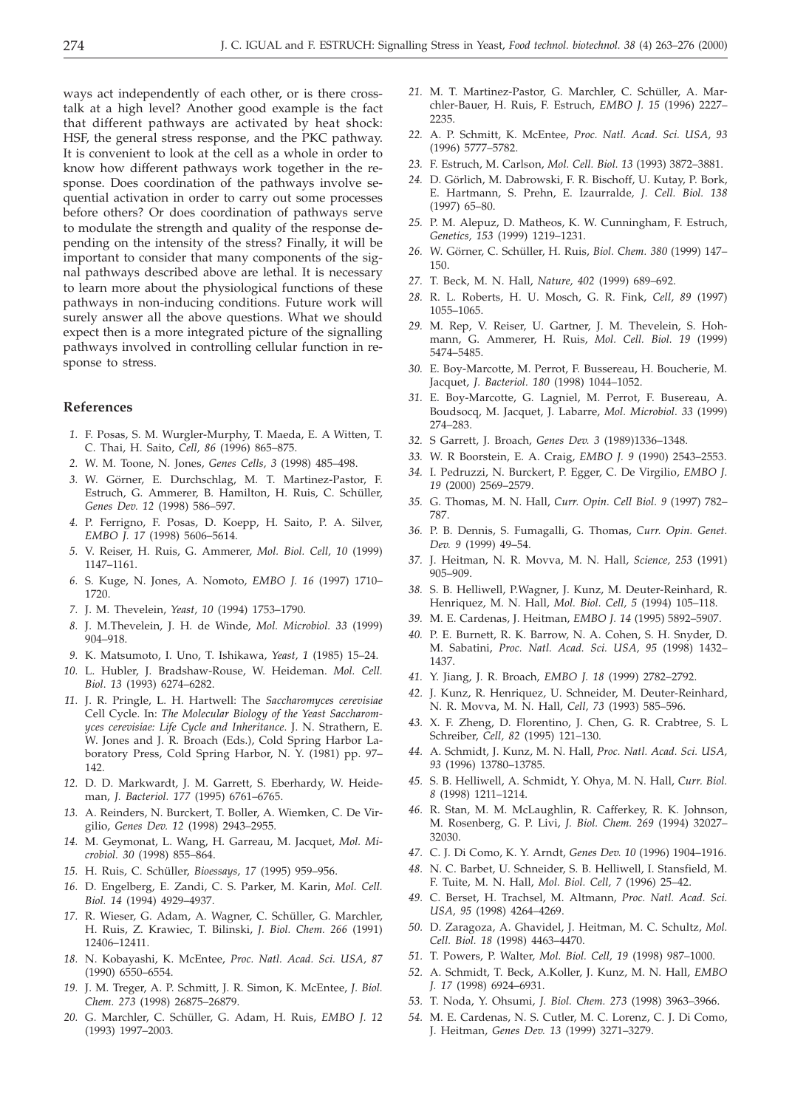ways act independently of each other, or is there crosstalk at a high level? Another good example is the fact that different pathways are activated by heat shock: HSF, the general stress response, and the PKC pathway. It is convenient to look at the cell as a whole in order to know how different pathways work together in the response. Does coordination of the pathways involve sequential activation in order to carry out some processes before others? Or does coordination of pathways serve to modulate the strength and quality of the response depending on the intensity of the stress? Finally, it will be important to consider that many components of the signal pathways described above are lethal. It is necessary to learn more about the physiological functions of these pathways in non-inducing conditions. Future work will surely answer all the above questions. What we should expect then is a more integrated picture of the signalling pathways involved in controlling cellular function in response to stress.

# **References**

- *1.* F. Posas, S. M. Wurgler-Murphy, T. Maeda, E. A Witten, T. C. Thai, H. Saito, *Cell, 86* (1996) 865–875.
- *2.* W. M. Toone, N. Jones, *Genes Cells, 3* (1998) 485–498.
- *3.* W. Görner, E. Durchschlag, M. T. Martinez-Pastor, F. Estruch, G. Ammerer, B. Hamilton, H. Ruis, C. Schüller, *Genes Dev. 12* (1998) 586–597.
- *4.* P. Ferrigno, F. Posas, D. Koepp, H. Saito, P. A. Silver, *EMBO J. 17* (1998) 5606–5614.
- *5.* V. Reiser, H. Ruis, G. Ammerer, *Mol. Biol. Cell, 10* (1999) 1147–1161.
- *6.* S. Kuge, N. Jones, A. Nomoto, *EMBO J. 16* (1997) 1710– 1720.
- *7.* J. M. Thevelein, *Yeast, 10* (1994) 1753–1790.
- *8.* J. M.Thevelein, J. H. de Winde, *Mol. Microbiol. 33* (1999) 904–918.
- *9.* K. Matsumoto, I. Uno, T. Ishikawa, *Yeast, 1* (1985) 15–24.
- *10.* L. Hubler, J. Bradshaw-Rouse, W. Heideman. *Mol. Cell. Biol*. *13* (1993) 6274–6282.
- *11.* J. R. Pringle, L. H. Hartwell: The *Saccharomyces cerevisiae* Cell Cycle. In: *The Molecular Biology of the Yeast Saccharomyces cerevisiae: Life Cycle and Inheritance*. J. N. Strathern, E. W. Jones and J. R. Broach (Eds.), Cold Spring Harbor Laboratory Press, Cold Spring Harbor, N. Y. (1981) pp. 97– 142.
- *12.* D. D. Markwardt, J. M. Garrett, S. Eberhardy, W. Heideman, *J. Bacteriol. 177* (1995) 6761–6765.
- *13.* A. Reinders, N. Burckert, T. Boller, A. Wiemken, C. De Virgilio, *Genes Dev. 12* (1998) 2943–2955.
- *14.* M. Geymonat, L. Wang, H. Garreau, M. Jacquet, *Mol. Microbiol. 30* (1998) 855–864.
- *15.* H. Ruis, C. Schüller, *Bioessays, 17* (1995) 959–956.
- *16.* D. Engelberg, E. Zandi, C. S. Parker, M. Karin, *Mol. Cell. Biol. 14* (1994) 4929–4937.
- *17.* R. Wieser, G. Adam, A. Wagner, C. Schüller, G. Marchler, H. Ruis, Z. Krawiec, T. Bilinski, *J. Biol. Chem. 266* (1991) 12406–12411.
- *18.* N. Kobayashi, K. McEntee, *Proc. Natl. Acad. Sci. USA, 87* (1990) 6550–6554.
- *19.* J. M. Treger, A. P. Schmitt, J. R. Simon, K. McEntee, *J. Biol. Chem. 273* (1998) 26875–26879.
- *20.* G. Marchler, C. Schüller, G. Adam, H. Ruis, *EMBO J. 12* (1993) 1997–2003.
- *21.* M. T. Martinez-Pastor, G. Marchler, C. Schüller, A. Marchler-Bauer, H. Ruis, F. Estruch, *EMBO J. 15* (1996) 2227– 2235.
- *22.* A. P. Schmitt, K. McEntee, *Proc. Natl. Acad. Sci. USA, 93* (1996) 5777–5782.
- *23.* F. Estruch, M. Carlson, *Mol. Cell. Biol. 13* (1993) 3872–3881.
- *24.* D. Görlich, M. Dabrowski, F. R. Bischoff, U. Kutay, P. Bork, E. Hartmann, S. Prehn, E. Izaurralde*, J. Cell. Biol. 138* (1997) 65–80.
- *25.* P. M. Alepuz, D. Matheos, K. W. Cunningham, F. Estruch, *Genetics, 153* (1999) 1219–1231.
- *26.* W. Görner, C. Schüller, H. Ruis, *Biol. Chem. 380* (1999) 147– 150.
- *27.* T. Beck, M. N. Hall, *Nature, 402* (1999) 689–692.
- *28.* R. L. Roberts, H. U. Mosch, G. R. Fink, *Cell*, *89* (1997) 1055–1065.
- *29.* M. Rep, V. Reiser, U. Gartner, J. M. Thevelein, S. Hohmann, G. Ammerer, H. Ruis, *Mol. Cell. Biol. 19* (1999) 5474–5485.
- *30.* E. Boy-Marcotte, M. Perrot, F. Bussereau, H. Boucherie, M. Jacquet, *J. Bacteriol. 180* (1998) 1044–1052.
- *31.* E. Boy-Marcotte, G. Lagniel, M. Perrot, F. Busereau, A. Boudsocq, M. Jacquet, J. Labarre, *Mol. Microbiol*. *33* (1999) 274–283.
- *32.* S Garrett, J. Broach, *Genes Dev. 3* (1989)1336–1348.
- *33.* W. R Boorstein, E. A. Craig, *EMBO J. 9* (1990) 2543–2553. *34.* I. Pedruzzi, N. Burckert, P. Egger, C. De Virgilio, *EMBO J.*
- *19* (2000) 2569–2579.
- *35.* G. Thomas, M. N. Hall, *Curr. Opin. Cell Biol. 9* (1997) 782– 787.
- *36.* P. B. Dennis, S. Fumagalli, G. Thomas, *Curr. Opin. Genet. Dev. 9* (1999) 49–54.
- *37.* J. Heitman, N. R. Movva, M. N. Hall, *Science, 253* (1991) 905–909.
- *38.* S. B. Helliwell, P.Wagner, J. Kunz, M. Deuter-Reinhard, R. Henriquez, M. N. Hall, *Mol. Biol. Cell, 5* (1994) 105–118.
- *39.* M. E. Cardenas, J. Heitman, *EMBO J. 14* (1995) 5892–5907.
- *40.* P. E. Burnett, R. K. Barrow, N. A. Cohen, S. H. Snyder, D. M. Sabatini, *Proc. Natl. Acad. Sci. USA, 95* (1998) 1432– 1437.
- *41.* Y. Jiang, J. R. Broach, *EMBO J. 18* (1999) 2782–2792.
- *42.* J. Kunz, R. Henriquez, U. Schneider, M. Deuter-Reinhard, N. R. Movva, M. N. Hall, *Cell, 73* (1993) 585–596.
- *43.* X. F. Zheng, D. Florentino, J. Chen, G. R. Crabtree, S. L Schreiber, *Cell, 82* (1995) 121–130.
- *44.* A. Schmidt, J. Kunz, M. N. Hall, *Proc. Natl. Acad. Sci. USA, 93* (1996) 13780–13785.
- *45.* S. B. Helliwell, A. Schmidt, Y. Ohya, M. N. Hall, *Curr. Biol. 8* (1998) 1211–1214.
- *46.* R. Stan, M. M. McLaughlin, R. Cafferkey, R. K. Johnson, M. Rosenberg, G. P. Livi, *J. Biol. Chem. 269* (1994) 32027– 32030.
- *47.* C. J. Di Como, K. Y. Arndt, *Genes Dev. 10* (1996) 1904–1916.
- *48.* N. C. Barbet, U. Schneider, S. B. Helliwell, I. Stansfield, M. F. Tuite, M. N. Hall, *Mol. Biol. Cell, 7* (1996) 25–42.
- *49.* C. Berset, H. Trachsel, M. Altmann, *Proc. Natl. Acad. Sci. USA, 95* (1998) 4264–4269.
- *50.* D. Zaragoza, A. Ghavidel, J. Heitman, M. C. Schultz, *Mol. Cell. Biol. 18* (1998) 4463–4470.
- *51.* T. Powers, P. Walter, *Mol. Biol. Cell, 19* (1998) 987–1000.
- *52.* A. Schmidt, T. Beck, A.Koller, J. Kunz, M. N. Hall, *EMBO J. 17* (1998) 6924–6931.
- *53.* T. Noda, Y. Ohsumi, *J. Biol. Chem. 273* (1998) 3963–3966.
- *54.* M. E. Cardenas, N. S. Cutler, M. C. Lorenz, C. J. Di Como, J. Heitman, *Genes Dev. 13* (1999) 3271–3279.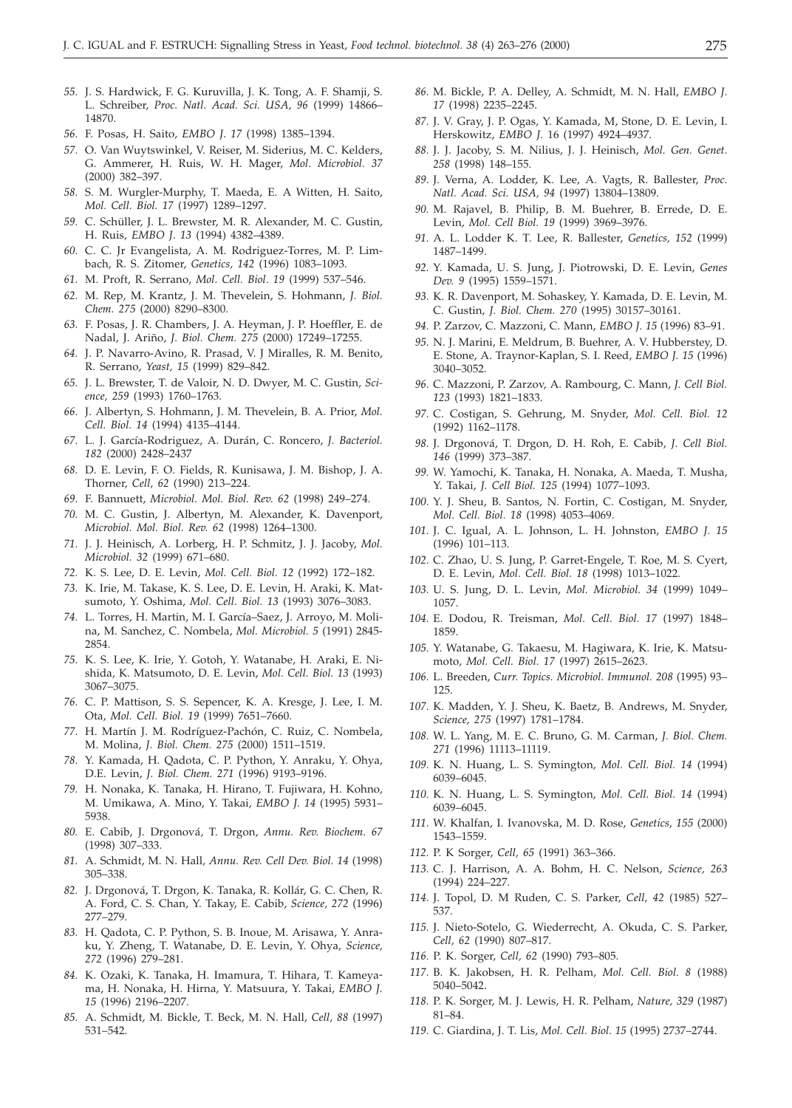- *55.* J. S. Hardwick, F. G. Kuruvilla, J. K. Tong, A. F. Shamji, S. L. Schreiber, *Proc. Natl. Acad. Sci. USA, 96* (1999) 14866– 14870.
- *56.* F. Posas, H. Saito, *EMBO J*. *17* (1998) 1385–1394.
- *57.* O. Van Wuytswinkel, V. Reiser, M. Siderius, M. C. Kelders, G. Ammerer, H. Ruis, W. H. Mager, *Mol. Microbiol. 37* (2000) 382–397.
- *58.* S. M. Wurgler-Murphy, T. Maeda, E. A Witten, H. Saito, *Mol. Cell. Biol. 17* (1997) 1289–1297.
- *59.* C. Schüller, J. L. Brewster, M. R. Alexander, M. C. Gustin, H. Ruis, *EMBO J*. *13* (1994) 4382–4389.
- *60.* C. C. Jr Evangelista, A. M. Rodriguez-Torres, M. P. Limbach, R. S. Zitomer, *Genetics, 142* (1996) 1083–1093.
- *61.* M. Proft, R. Serrano, *Mol. Cell. Biol*. *19* (1999) 537–546.
- *62.* M. Rep, M. Krantz, J. M. Thevelein, S. Hohmann, *J. Biol. Chem. 275* (2000) 8290–8300.
- *63.* F. Posas, J. R. Chambers, J. A. Heyman, J. P. Hoeffler, E. de Nadal, J. Ariño, *J. Biol. Chem. 275* (2000) 17249–17255.
- *64.* J. P. Navarro-Avino, R. Prasad, V. J Miralles, R. M. Benito, R. Serrano, *Yeast, 15* (1999) 829–842.
- *65.* J. L. Brewster, T. de Valoir, N. D. Dwyer, M. C. Gustin, *Science, 259* (1993) 1760–1763.
- *66.* J. Albertyn, S. Hohmann, J. M. Thevelein, B. A. Prior, *Mol. Cell. Biol. 14* (1994) 4135–4144.
- *67.* L. J. García-Rodriguez, A. Durán, C. Roncero, *J. Bacteriol. 182* (2000) 2428–2437
- *68.* D. E. Levin, F. O. Fields, R. Kunisawa, J. M. Bishop, J. A. Thorner, *Cell, 62* (1990) 213–224.
- *69.* F. Bannuett, *Microbiol. Mol. Biol. Rev. 62* (1998) 249–274.
- *70.* M. C. Gustin, J. Albertyn, M. Alexander, K. Davenport, *Microbiol. Mol. Biol. Rev. 62* (1998) 1264–1300.
- *71.* J. J. Heinisch, A. Lorberg, H. P. Schmitz, J. J. Jacoby, *Mol. Microbiol. 32* (1999) 671–680.
- *72.* K. S. Lee, D. E. Levin, *Mol. Cell. Biol. 12* (1992) 172–182.
- *73.* K. Irie, M. Takase, K. S. Lee, D. E. Levin, H. Araki, K. Matsumoto, Y. Oshima, *Mol. Cell. Biol. 13* (1993) 3076–3083.
- *74.* L. Torres, H. Martin, M. I. García–Saez, J. Arroyo, M. Molina, M. Sanchez, C. Nombela, *Mol. Microbiol. 5* (1991) 2845- 2854.
- *75.* K. S. Lee, K. Irie, Y. Gotoh, Y. Watanabe, H. Araki, E. Nishida, K. Matsumoto, D. E. Levin, *Mol. Cell. Biol. 13* (1993) 3067–3075.
- *76.* C. P. Mattison, S. S. Sepencer, K. A. Kresge, J. Lee, I. M. Ota, *Mol. Cell. Biol. 19* (1999) 7651–7660.
- *77.* H. Martín J. M. Rodríguez-Pachón, C. Ruiz, C. Nombela, M. Molina, *J. Biol. Chem. 275* (2000) 1511–1519.
- *78.* Y. Kamada, H. Qadota, C. P. Python, Y. Anraku, Y. Ohya, D.E. Levin, *J. Biol. Chem. 271* (1996) 9193–9196.
- *79.* H. Nonaka, K. Tanaka, H. Hirano, T. Fujiwara, H. Kohno, M. Umikawa, A. Mino, Y. Takai, *EMBO J. 14* (1995) 5931– 5938.
- *80.* E. Cabib, J. Drgonová, T. Drgon, *Annu. Rev. Biochem*. *67* (1998) 307–333.
- *81.* A. Schmidt, M. N. Hall, *Annu. Rev. Cell Dev. Biol. 14* (1998) 305–338.
- *82.* J. Drgonová, T. Drgon, K. Tanaka, R. Kollár, G. C. Chen, R. A. Ford, C. S. Chan, Y. Takay, E. Cabib, *Science, 272* (1996) 277–279.
- *83.* H. Qadota, C. P. Python, S. B. Inoue, M. Arisawa, Y. Anraku, Y. Zheng, T. Watanabe, D. E. Levin, Y. Ohya, *Science, 272* (1996) 279–281.
- *84.* K. Ozaki, K. Tanaka, H. Imamura, T. Hihara, T. Kameyama, H. Nonaka, H. Hirna, Y. Matsuura, Y. Takai, *EMBO J. 15* (1996) 2196–2207.
- *85.* A. Schmidt, M. Bickle, T. Beck, M. N. Hall, *Cell, 88* (1997) 531–542.
- *86.* M. Bickle, P. A. Delley, A. Schmidt, M. N. Hall, *EMBO J. 17* (1998) 2235–2245.
- *87.* J. V. Gray, J. P. Ogas, Y. Kamada, M, Stone, D. E. Levin, I. Herskowitz, *EMBO J.* 16 (1997) 4924–4937.
- *88.* J. J. Jacoby, S. M. Nilius, J. J. Heinisch, *Mol. Gen. Genet. 258* (1998) 148–155.
- *89.* J. Verna, A. Lodder, K. Lee, A. Vagts, R. Ballester, *Proc. Natl. Acad. Sci. USA, 94* (1997) 13804–13809.
- *90.* M. Rajavel, B. Philip, B. M. Buehrer, B. Errede, D. E. Levin, *Mol. Cell Biol. 19* (1999) 3969–3976.
- *91.* A. L. Lodder K. T. Lee, R. Ballester, *Genetics, 152* (1999) 1487–1499.
- *92.* Y. Kamada, U. S. Jung, J. Piotrowski, D. E. Levin, *Genes Dev. 9* (1995) 1559–1571.
- *93.* K. R. Davenport, M. Sohaskey, Y. Kamada, D. E. Levin, M. C. Gustin, *J. Biol. Chem. 270* (1995) 30157–30161.
- *94.* P. Zarzov, C. Mazzoni, C. Mann, *EMBO J. 15* (1996) 83–91.
- *95.* N. J. Marini, E. Meldrum, B. Buehrer, A. V. Hubberstey, D. E. Stone, A. Traynor-Kaplan, S. I. Reed, *EMBO J. 15* (1996) 3040–3052.
- *96.* C. Mazzoni, P. Zarzov, A. Rambourg, C. Mann, *J. Cell Biol. 123* (1993) 1821–1833.
- *97.* C. Costigan, S. Gehrung, M. Snyder, *Mol. Cell. Biol. 12* (1992) 1162–1178.
- *98.* J. Drgonová, T. Drgon, D. H. Roh, E. Cabib, *J. Cell Biol. 146* (1999) 373–387.
- *99.* W. Yamochi, K. Tanaka, H. Nonaka, A. Maeda, T. Musha, Y. Takai, *J. Cell Biol. 125* (1994) 1077–1093.
- *100.* Y. J. Sheu, B. Santos, N. Fortin, C. Costigan, M. Snyder, *Mol. Cell. Biol. 18* (1998) 4053–4069.
- *101.* J. C. Igual, A. L. Johnson, L. H. Johnston, *EMBO J. 15* (1996) 101–113.
- *102.* C. Zhao, U. S. Jung, P. Garret-Engele, T. Roe, M. S. Cyert, D. E. Levin, *Mol. Cell. Biol. 18* (1998) 1013–1022.
- *103.* U. S. Jung, D. L. Levin, *Mol. Microbiol. 34* (1999) 1049– 1057.
- *104.* E. Dodou, R. Treisman, *Mol. Cell. Biol. 17* (1997) 1848– 1859.
- *105.* Y. Watanabe, G. Takaesu, M. Hagiwara, K. Irie, K. Matsumoto, *Mol. Cell. Biol. 17* (1997) 2615–2623.
- *106.* L. Breeden, *Curr. Topics. Microbiol. Immunol. 208* (1995) 93– 125.
- *107.* K. Madden, Y. J. Sheu, K. Baetz, B. Andrews, M. Snyder, *Science, 275* (1997) 1781–1784.
- *108.* W. L. Yang, M. E. C. Bruno, G. M. Carman, *J. Biol. Chem. 271* (1996) 11113–11119.
- *109.* K. N. Huang, L. S. Symington, *Mol. Cell. Biol. 14* (1994) 6039–6045.
- *110.* K. N. Huang, L. S. Symington, *Mol. Cell. Biol. 14* (1994) 6039–6045.
- *111.* W. Khalfan, I. Ivanovska, M. D. Rose, *Genetics, 155* (2000) 1543–1559.
- *112.* P. K Sorger, *Cell, 65* (1991) 363–366.
- *113.* C. J. Harrison, A. A. Bohm, H. C. Nelson, *Science, 263* (1994) 224–227.
- *114.* J. Topol, D. M Ruden, C. S. Parker, *Cell, 42* (1985) 527– 537.
- *115.* J. Nieto-Sotelo, G. Wiederrecht, A. Okuda, C. S. Parker, *Cell, 62* (1990) 807–817.
- *116.* P. K. Sorger, *Cell, 62* (1990) 793–805.
- *117.* B. K. Jakobsen, H. R. Pelham, *Mol. Cell. Biol. 8* (1988) 5040–5042.
- *118.* P. K. Sorger, M. J. Lewis, H. R. Pelham, *Nature, 329* (1987) 81–84.
- *119.* C. Giardina, J. T. Lis, *Mol. Cell. Biol. 15* (1995) 2737–2744.